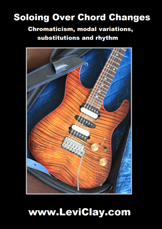## **Soloing Over Chord Changes**

### **Chromaticism, modal variations,** substitutions and rhythm



# www.LeviClay.com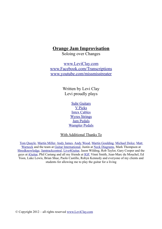#### **Orange Jam Improvisation**

Soloing over Changes

[www.LeviClay.com](http://www.LeviClay.com/) [www.Facebook.com/Transcriptions](http://www.Facebook.com/Transcriptions) [www.youtube.com/missmisstreater](http://www.youtube.com/missmisstreater)

> Written by Levi Clay Levi proudly plays

> > [Suhr Guitars](http://www.suhrguitars.com/) [V Picks](http://v-picks.com/) [Intex Cables](http://www.intexcables.com/) [Wyres Strings](http://www.wyresstrings.net/) [Jam Pedals](http://www.jampedals.com/) [Wampler Pedals](http://www.wamplerpedals.com/)

With Additional Thanks To

[Tom Quayle,](http://www.tomquayle.co.uk/) [Martin Miller,](http://www.martinmillerguitar.com/) [Andy James,](http://www.andyjamesguitarist.com/) [Andy Wood,](http://www.andywoodmusic.com/) [Martin Goulding,](http://martingoulding.com/) [Michael Dolce,](http://michaeldolcemusic.com/) [Matt](http://www.mattwarnockguitar.com/) [Warnock](http://www.mattwarnockguitar.com/) and the team at [Guitar International,](http://guitarinternational.com/) Justin at [Neck Diagrams,](http://www.neckdiagrams.com/) Mark Thompson at [Shredknowledge,](http://shredknowledge.com/) [Jamtrackcentral,](http://www.jamtrackcentral.com/) [Live4Guitar,](http://live4guitar.com/) Jason Wilding, Rob Taylor, Gary Cooper and the guys at [iGuitar,](http://www.iguitarmag.com/) Phil Castang and all my friends at [IGF,](http://www.igf.org.uk/Home.html) Vinni Smith, Jean-Marc du Mouchel, Ed Yoon, Luke Lewis, Brian Shue, Paolo Castillo, Robyn Kennedy and everyone of my clients and students for allowing me to play the guitar for a living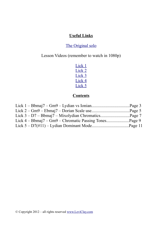#### **Useful Links**

#### [The Original solo](http://www.youtube.com/watch?v=4Xw_dXYBTvs)

Lesson Videos (remember to watch in 1080p)

Lick<sub>1</sub> [Lick 2](http://www.youtube.com/watch?v=JjLXxXNtfZM) [Lick 3](http://www.youtube.com/watch?v=Gbh7zWTY11Q) [Lick 4](http://www.youtube.com/watch?v=HEt4eCK_RwM) [Lick 5](http://www.youtube.com/watch?v=Loc9XFgWpeg)

#### **Contents**

| Lick $4 - Bbmaj7 - Gm9 - Chromatic Passing Tones$ Page 9 |  |
|----------------------------------------------------------|--|
|                                                          |  |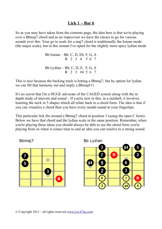#### **Lick 1 – Bar 6**

So as you may have taken from the contents page, the idea here is that we're playing over a Bbmaj7 chord and as an improviser we have the choice to go for various sounds over this. Your go to scale for a maj7 chord is traditionally the Ionian mode (the major scale), but in this instant I've opted for the slightly more spicy lydian mode

> Bb Ionian – Bb, C, D, Eb, F, G, A R 2 3 4 5 6 7 Bb Lydian – Bb, C, D, E, F, G, A R 2 3 #4 5 6 7

This is nice because the backing track is hitting a Bbmaj7, but by option for lydian we can fill that harmony out and imply a Bbmaj#11.

It's no secret that I'm a HUGE advocate of the CAGED system along with the in depth study of intevals and sound – If you're new to this, in a nutshell, it involves learning the neck in 5 shapes which all relate back to a chord form. The idea is that if you can visualize a chord then you have every modal sound at your fingertips.

This particular lick fits around a Bbmaj7 chord in position 3 (using the open C form). Below we have that chord and the lydian scale in the same position. Remember, when you're playing these ideas you should always be able to see the chord form you're playing from so when it comes time to end an idea you can resolve to a strong sound.







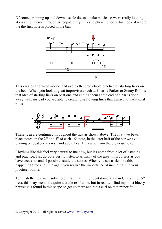Of course, running up and down a scale doesn't make music, so we're really looking at creating interest through syncopated rhythms and phrasing tools. Just look at where the the first note is placed in the bar.



This creates a form of motion and avoids the predictable practice of starting licks on the beat. When you look at great improvisers such as Charlie Parker or Sonny Rollins that idea of starting licks on beat one and ending them at the end of a bar is done away with, instead you are able to create long flowing lines that transcend traditional rules.



These idea are continued throughout the lick as shown above. The first two beats place notes on the  $2<sup>nd</sup>$  and  $4<sup>th</sup>$  of each  $16<sup>th</sup>$  note, in the later half of the bar we avoid playing on beat 3 via a rest, and avoid beat 4 via a tie from the previous note.

Rhythms like this feel very natural to me now, but it's come from a lot of listening and practice. Just do your best to listen to as many of the great improvisers as you have access to and if possible, study the scores. When you see tricks like this happening time and time again you realize the importance of including it in your practice routine.

To finish the lick we resolve to our familiar minor pentatonic scale in  $Gm$  (at the  $15<sup>th</sup>$ fret), this may seem like quite a crude resolution, but in reality I find my most bluesy phrasing is found in this shape so get up there and put a curl on that minor  $3<sup>rd</sup>$ !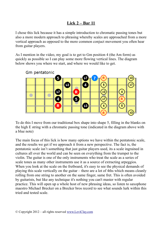#### **Lick 2 – Bar 11**

I chose this lick because it has a simple introduction to chromatic passing tones but also a more modern approach to phrasing whereby scales are approached from a more vertical approach as opposed to the more common conjuct movement you often hear from guitar players.

As I mention in the video, my goal is to get to Gm position 4 (the Am form) as quickly as possible so I can play some more flowing vertical lines. The diagram below shows you where we start, and where we would like to get.



To do this I move from our traditional box shape into shape 5, filling in the blanks on the high E string with a chromatic passing tone (indicated in the diagram above with a blue note)

The main focus of this lick is how many options we have within the pentatonic scale, and the results we get if we approach it from a new perspective. The fact is, the pentatonic scale isn't something that just guitar players used, its a scale ingrained in cultures all over the world and can be seen on everything from the trumpet to the violin. The guitar is one of the only instruments who treat the scale as a series of scale tones as many other instruments use it as a source of extracting arpeggios. When you look at the scale on the fretboard, it's easy to see the physical demands of playing this scale vertically on the guitar – there are a lot of 4ths which means cleanly rolling from one string to another on the same finger, same fret. This is often avoided by guitarists, but like any technique it's nothing you can't master with regular practice. This will open up a whole host of new phrasing ideas, so listen to saxophone maestro Michael Brecker on a Brecker bros record to see what sounds lurk within this tried and tested scale.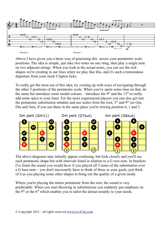

Above I have given you a basic way of practising this across your pentatonic scale positions. The idea is simple, just take two notes on one sting, then play a single note on two adjacent strings. When you look at the actual notes, you can see the rich shapes we're creating in our lines when we play like this, and it's such a tremendous departure from your stock Clapton licks.

To really get the most out of this idea, try coming up with ways of navigating through the other 5 positions of the pentatonic scale. When you've spent some time on that, do the same but introduce some modal colours – introduce the  $9<sup>th</sup>$  and the 13<sup>th</sup> to really add some spice to your lines. For the more experienced players you can also get into the pentatonic substitution mindset and use scales from the root,  $5<sup>th</sup>$  and  $9<sup>th</sup>$  (so Gm, Dm and Am), if you use these in the same place you're mixing position 4, 1 and 3.



The above diagrams may initially appear confusing, but look closely and you'll see each pentatonic shape but with intervals listed in relation to a G root note. In brackets I've listen the sound you would have if you played all 5 notes of the substitution over a G bass note – you don't necessarily have to think of these as your goals, just think of it as you playing some other shapes to bring out the quality of a given mode.

Where you're playing the minor pentatonic from the root, the sound is very predictable. When you start throwing in substitutions you suddenly put emphasis on the  $9<sup>th</sup>$  or the  $6<sup>th</sup>$  which enables you to tailor the dorian tonality to your needs.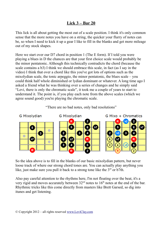#### **Lick 3 – Bar 20**

This lick is all about getting the most out of a scale position. I think it's only common sense that the more notes you have on a string, the quicker your flurry of notes can be, so when I need to kick it up a gear I like to fill in the blanks and get more mileage out of my stock shapes.

Here we start over our D7 chord in position 1 (The E form). If I told you were playing a blues in D the chances are that your first choice scale would probably be the minor pentatonic. Although this technically contradicts the chord (because the scale contains a b3) I think we should embrace this scale, in fact (as I say in the video) I think that over a chord like this you've got lots of options such as the mixolydian scale, the tonic arpeggio, the minor pentatonic, the blues scale – you could think half whole diminished or lydian dominant or whatever. A long time ago I asked a friend what he was thinking over a series of changes and he simply said "Levi, there is only the chromatic scale", it took me a couple of years to start to understand it. The point is, if you play each note from the above scales (which we agree sound good) you're playing the chromatic scale.



"There are no bad notes, only bad resolutions"

So the idea above is to fill in the blanks of our basic mixolydian pattern, but never loose track of where our strong chord tones are. You can actually play anything you like, just make sure you pull it back to a strong tone like the  $3<sup>rd</sup>$  or b7th.

Also pay careful attention to the rhythms here, I'm not floating over the beat, it's a very rigid and moves accurately between  $32<sup>nd</sup>$  notes to  $16<sup>th</sup>$  notes at the end of the bar. Rhythmic tricks like this come directly from masters like Brett Garsed, so dig into itunes and get listening.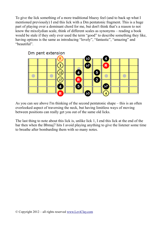To give the lick something of a more traditional bluesy feel (and to back up what I mentioned previously) I end this lick with a Dm pentatonic fragment. This is a huge part of playing over a dominant chord for me, but don't think that's a reason to not know the mixolydian scale, think of different scales as synonyms – reading a book would be stale if they only ever used the term "good" to describe something they like, having options is the same as introducing "lovely", "fantastic", "amazing" and "beautiful".



As you can see above I'm thinking of the second pentatonic shape – this is an often overlooked aspect of traversing the neck, but having limitless ways of moving between positions can really get you out of the same old licks.

The last thing to note about this lick is, unlike lick 1, I end this lick at the end of the bar then when the Bbmaj7 hits I avoid playing anything to give the listener some time to breathe after bombarding them with so many notes.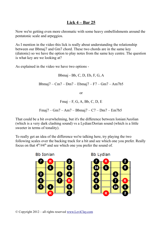#### **Lick 4 – Bar 25**

Now we're getting even more chromatic with some heavy embellishments around the pentatonic scale and arpeggios.

As I mention in the video this lick is really about understanding the relationship between our Bbmaj7 and Gm7 chord. These two chords are in the same key (diatonic) so we have the option to play notes from the same key centre. The question is what key are we looking at?

As explained in the video we have two options -

Bbmaj - Bb, C, D, Eb, F, G, A Bbmaj7 – Cm7 – Dm7 – Ebmaj7 – F7 – Gm7 – Am7b5 or Fmaj – F, G, A, Bb, C, D, E

Fmaj7 – Gm7 – Am7 – Bbmaj7 – C7 – Dm7 – Em7b5

That could be a bit overwhelming, but it's the difference between Ionian/Aeolian (which is a very dark clashing sound) vs a Lydian/Dorian sound (which is a little sweeter in terms of tonality).

To really get an idea of the difference we're talking here, try playing the two following scales over the backing track for a bit and see which one you prefer. Really focus on that  $4<sup>th</sup>/\#4<sup>th</sup>$  and see which one you prefer the sound of.

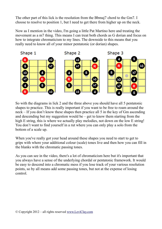The other part of this lick is the resolution from the Bbmaj7 chord to the Gm7. I choose to resolve to position 1, but I need to get there from higher up on the neck.

Now as I mention in the video, I'm going a little Pat Martino here and treating the movement as a m7 thing. This means I can treat both chords as G dorian and focus on how to integrate chromaticism to my lines. The downside to this means that you really need to know all of your minor pentatonic (or dorian) shapes.



So with the diagrams in lick 2 and the three above you should have all 5 pentatonic shapes to practice. This is really important if you want to be free to roam around the neck – If you don't know these shapes then practice all 5 in the key of Gm ascending and descending but my suggestion would be – get to know them starting from the high E string, this is where we actually play melodies, not down on the low E string! You don't want to find yourself in a rut where you can only play a solo from the bottom of a scale up.

When you've really got your head around these shapes you need to start to get to grips with where your additional colour (scale) tones live and then how you can fill in the blanks with the chromatic passing tones.

As you can see in the video, there's a lot of chromaticism here but it's important that you always have a sense of the underlying chordal or pentatonic framework. It would be easy to descend into a chromatic mess if you lose track of your various resolution points, so by all means add some passing tones, but not at the expense of losing control.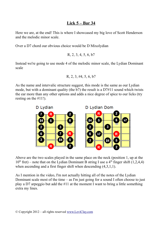#### **Lick 5 – Bar 34**

Here we are, at the end! This is where I showcased my big love of Scott Henderson and the melodic minor scale.

Over a D7 chord our obvious choice would be D Mixolydian

```
R, 2, 3, 4, 5, 6, b7
```
Instead we're going to use mode 4 of the melodic minor scale, the Lydian Dominant scale

$$
R, 2, 3, \#4, 5, 6, b7
$$

As the name and intervalic structure suggest, this mode is the same as our Lydian mode, but with a dominant quality (the b7) the result is a D7#11 sound which twists the ear more than any other options and adds a nice degree of spice to our licks (try resting on the #11!).



Above are the two scales played in the same place on the neck (position 1, up at the  $10^{th}$  fret) – note that on the Lydian Dominant B string I use a  $4^{th}$  finger shift (1,2,4,4) when ascending and a first finger shift when descending  $(4,3,1,1)$ .

As I mention in the video, I'm not actually hitting all of the notes of the Lydian Dominant scale most of the time – as I'm just going for a sound I often choose to just play a D7 arpeggio but add the #11 at the moment I want to bring a little something extra my lines.